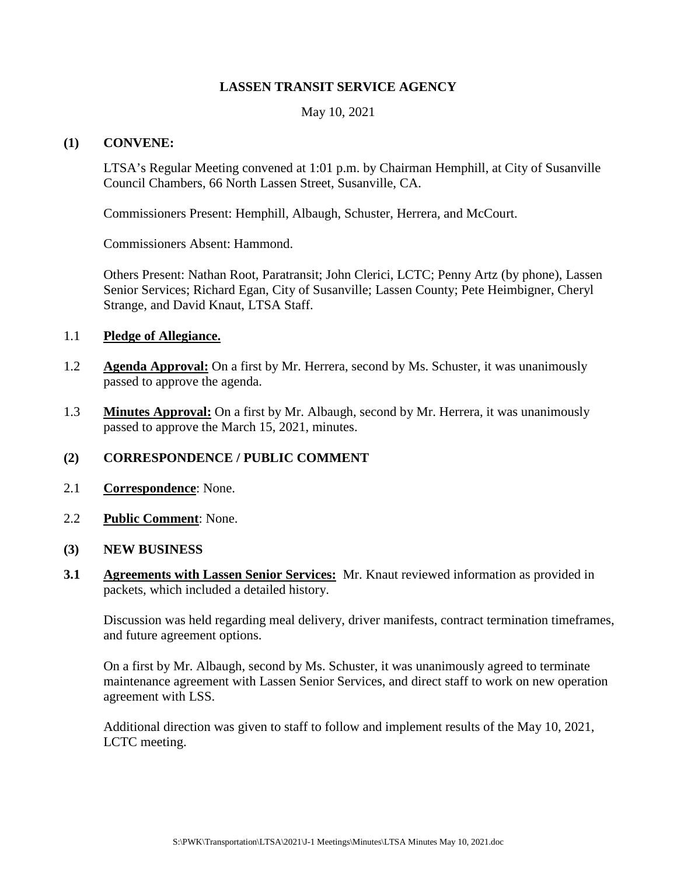## **LASSEN TRANSIT SERVICE AGENCY**

May 10, 2021

#### **(1) CONVENE:**

LTSA's Regular Meeting convened at 1:01 p.m. by Chairman Hemphill, at City of Susanville Council Chambers, 66 North Lassen Street, Susanville, CA.

Commissioners Present: Hemphill, Albaugh, Schuster, Herrera, and McCourt.

Commissioners Absent: Hammond.

Others Present: Nathan Root, Paratransit; John Clerici, LCTC; Penny Artz (by phone), Lassen Senior Services; Richard Egan, City of Susanville; Lassen County; Pete Heimbigner, Cheryl Strange, and David Knaut, LTSA Staff.

#### 1.1 **Pledge of Allegiance.**

- 1.2 **Agenda Approval:** On a first by Mr. Herrera, second by Ms. Schuster, it was unanimously passed to approve the agenda.
- 1.3 **Minutes Approval:** On a first by Mr. Albaugh, second by Mr. Herrera, it was unanimously passed to approve the March 15, 2021, minutes.

## **(2) CORRESPONDENCE / PUBLIC COMMENT**

- 2.1 **Correspondence**: None.
- 2.2 **Public Comment**: None.
- **(3) NEW BUSINESS**
- **3.1 Agreements with Lassen Senior Services:** Mr. Knaut reviewed information as provided in packets, which included a detailed history.

Discussion was held regarding meal delivery, driver manifests, contract termination timeframes, and future agreement options.

On a first by Mr. Albaugh, second by Ms. Schuster, it was unanimously agreed to terminate maintenance agreement with Lassen Senior Services, and direct staff to work on new operation agreement with LSS.

Additional direction was given to staff to follow and implement results of the May 10, 2021, LCTC meeting.